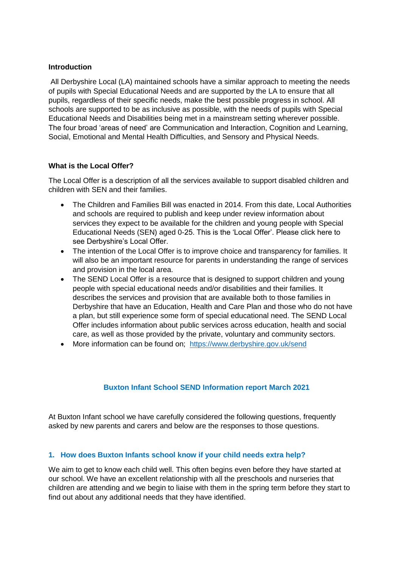#### **Introduction**

All Derbyshire Local (LA) maintained schools have a similar approach to meeting the needs of pupils with Special Educational Needs and are supported by the LA to ensure that all pupils, regardless of their specific needs, make the best possible progress in school. All schools are supported to be as inclusive as possible, with the needs of pupils with Special Educational Needs and Disabilities being met in a mainstream setting wherever possible. The four broad 'areas of need' are Communication and Interaction, Cognition and Learning, Social, Emotional and Mental Health Difficulties, and Sensory and Physical Needs.

#### **What is the Local Offer?**

The Local Offer is a description of all the services available to support disabled children and children with SEN and their families.

- The Children and Families Bill was enacted in 2014. From this date, Local Authorities and schools are required to publish and keep under review information about services they expect to be available for the children and young people with Special Educational Needs (SEN) aged 0-25. This is the 'Local Offer'. Please click here to see Derbyshire's Local Offer.
- The intention of the Local Offer is to improve choice and transparency for families. It will also be an important resource for parents in understanding the range of services and provision in the local area.
- The SEND Local Offer is a resource that is designed to support children and young people with special educational needs and/or disabilities and their families. It describes the services and provision that are available both to those families in Derbyshire that have an Education, Health and Care Plan and those who do not have a plan, but still experience some form of special educational need. The SEND Local Offer includes information about public services across education, health and social care, as well as those provided by the private, voluntary and community sectors.
- More information can be found on; <https://www.derbyshire.gov.uk/send>

### **Buxton Infant School SEND Information report March 2021**

At Buxton Infant school we have carefully considered the following questions, frequently asked by new parents and carers and below are the responses to those questions.

### **1. How does Buxton Infants school know if your child needs extra help?**

We aim to get to know each child well. This often begins even before they have started at our school. We have an excellent relationship with all the preschools and nurseries that children are attending and we begin to liaise with them in the spring term before they start to find out about any additional needs that they have identified.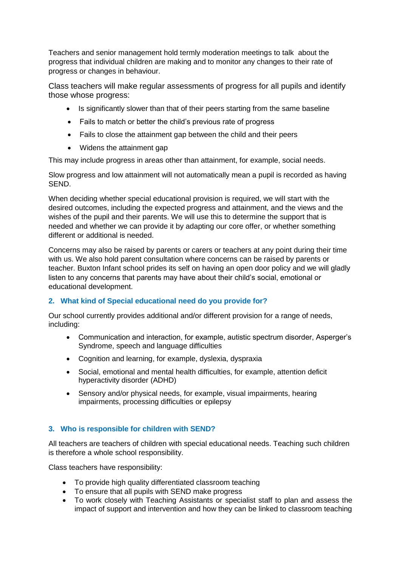Teachers and senior management hold termly moderation meetings to talk about the progress that individual children are making and to monitor any changes to their rate of progress or changes in behaviour.

Class teachers will make regular assessments of progress for all pupils and identify those whose progress:

- Is significantly slower than that of their peers starting from the same baseline
- Fails to match or better the child's previous rate of progress
- Fails to close the attainment gap between the child and their peers
- Widens the attainment gap

This may include progress in areas other than attainment, for example, social needs.

Slow progress and low attainment will not automatically mean a pupil is recorded as having SEND.

When deciding whether special educational provision is required, we will start with the desired outcomes, including the expected progress and attainment, and the views and the wishes of the pupil and their parents. We will use this to determine the support that is needed and whether we can provide it by adapting our core offer, or whether something different or additional is needed.

Concerns may also be raised by parents or carers or teachers at any point during their time with us. We also hold parent consultation where concerns can be raised by parents or teacher. Buxton Infant school prides its self on having an open door policy and we will gladly listen to any concerns that parents may have about their child's social, emotional or educational development.

### **2. What kind of Special educational need do you provide for?**

Our school currently provides additional and/or different provision for a range of needs, including:

- Communication and interaction, for example, autistic spectrum disorder, Asperger's Syndrome, speech and language difficulties
- Cognition and learning, for example, dyslexia, dyspraxia
- Social, emotional and mental health difficulties, for example, attention deficit hyperactivity disorder (ADHD)
- Sensory and/or physical needs, for example, visual impairments, hearing impairments, processing difficulties or epilepsy

## **3. Who is responsible for children with SEND?**

All teachers are teachers of children with special educational needs. Teaching such children is therefore a whole school responsibility.

Class teachers have responsibility:

- To provide high quality differentiated classroom teaching
- To ensure that all pupils with SEND make progress
- To work closely with Teaching Assistants or specialist staff to plan and assess the impact of support and intervention and how they can be linked to classroom teaching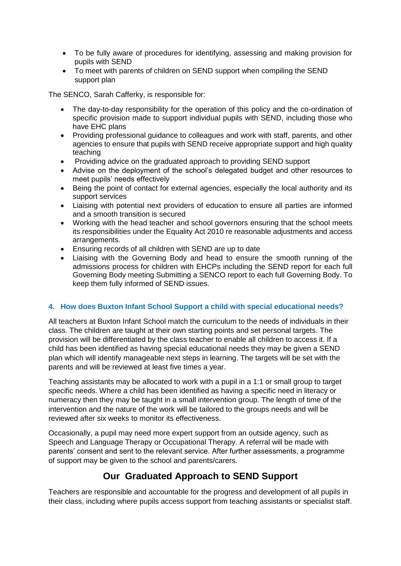- To be fully aware of procedures for identifying, assessing and making provision for pupils with SEND
- To meet with parents of children on SEND support when compiling the SEND support plan

The SENCO, Sarah Cafferky, is responsible for:

- The day-to-day responsibility for the operation of this policy and the co-ordination of specific provision made to support individual pupils with SEND, including those who have EHC plans
- Providing professional guidance to colleagues and work with staff, parents, and other agencies to ensure that pupils with SEND receive appropriate support and high quality teaching
- Providing advice on the graduated approach to providing SEND support
- Advise on the deployment of the school's delegated budget and other resources to meet pupils' needs effectively
- Being the point of contact for external agencies, especially the local authority and its support services
- Liaising with potential next providers of education to ensure all parties are informed and a smooth transition is secured
- Working with the head teacher and school governors ensuring that the school meets its responsibilities under the Equality Act 2010 re reasonable adjustments and access arrangements.
- Ensuring records of all children with SEND are up to date
- Liaising with the Governing Body and head to ensure the smooth running of the admissions process for children with EHCPs including the SEND report for each full Governing Body meeting Submitting a SENCO report to each full Governing Body. To keep them fully informed of SEND issues.

#### **4. How does Buxton Infant School Support a child with special educational needs?**

All teachers at Buxton Infant School match the curriculum to the needs of individuals in their class. The children are taught at their own starting points and set personal targets. The provision will be differentiated by the class teacher to enable all children to access it. If a child has been identified as having special educational needs they may be given a SEND plan which will identify manageable next steps in learning. The targets will be set with the parents and will be reviewed at least five times a year.

Teaching assistants may be allocated to work with a pupil in a 1:1 or small group to target specific needs. Where a child has been identified as having a specific need in literacy or numeracy then they may be taught in a small intervention group. The length of time of the intervention and the nature of the work will be tailored to the groups needs and will be reviewed after six weeks to monitor its effectiveness.

Occasionally, a pupil may need more expert support from an outside agency, such as Speech and Language Therapy or Occupational Therapy. A referral will be made with parents' consent and sent to the relevant service. After further assessments, a programme of support may be given to the school and parents/carers.

# **Our Graduated Approach to SEND Support**

Teachers are responsible and accountable for the progress and development of all pupils in their class, including where pupils access support from teaching assistants or specialist staff.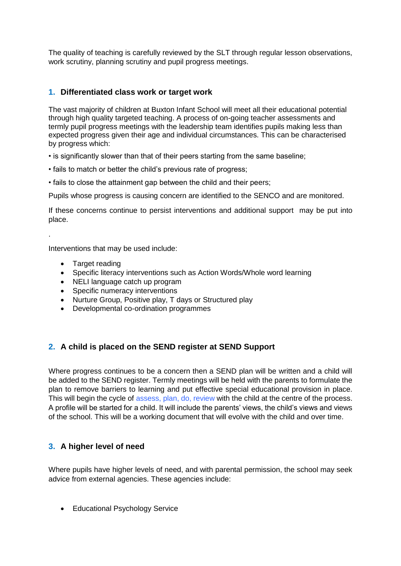The quality of teaching is carefully reviewed by the SLT through regular lesson observations, work scrutiny, planning scrutiny and pupil progress meetings.

### **1. Differentiated class work or target work**

The vast majority of children at Buxton Infant School will meet all their educational potential through high quality targeted teaching. A process of on-going teacher assessments and termly pupil progress meetings with the leadership team identifies pupils making less than expected progress given their age and individual circumstances. This can be characterised by progress which:

• is significantly slower than that of their peers starting from the same baseline;

- fails to match or better the child's previous rate of progress;
- fails to close the attainment gap between the child and their peers:

Pupils whose progress is causing concern are identified to the SENCO and are monitored.

If these concerns continue to persist interventions and additional support may be put into place.

Interventions that may be used include:

• Target reading

.

- Specific literacy interventions such as Action Words/Whole word learning
- NELI language catch up program
- Specific numeracy interventions
- Nurture Group, Positive play, T days or Structured play
- Developmental co-ordination programmes

## **2. A child is placed on the SEND register at SEND Support**

Where progress continues to be a concern then a SEND plan will be written and a child will be added to the SEND register. Termly meetings will be held with the parents to formulate the plan to remove barriers to learning and put effective special educational provision in place. This will begin the cycle of assess, plan, do, review with the child at the centre of the process. A profile will be started for a child. It will include the parents' views, the child's views and views of the school. This will be a working document that will evolve with the child and over time.

### **3. A higher level of need**

Where pupils have higher levels of need, and with parental permission, the school may seek advice from external agencies. These agencies include:

• Educational Psychology Service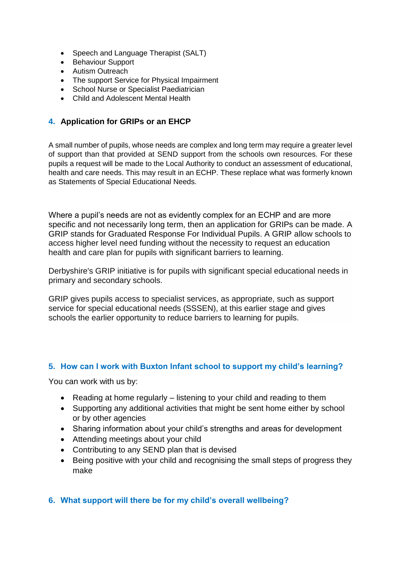- Speech and Language Therapist (SALT)
- Behaviour Support
- Autism Outreach
- The support Service for Physical Impairment
- School Nurse or Specialist Paediatrician
- Child and Adolescent Mental Health

### **4. Application for GRIPs or an EHCP**

A small number of pupils, whose needs are complex and long term may require a greater level of support than that provided at SEND support from the schools own resources. For these pupils a request will be made to the Local Authority to conduct an assessment of educational, health and care needs. This may result in an ECHP. These replace what was formerly known as Statements of Special Educational Needs.

Where a pupil's needs are not as evidently complex for an ECHP and are more specific and not necessarily long term, then an application for GRIPs can be made. A GRIP stands for Graduated Response For Individual Pupils. A GRIP allow schools to access higher level need funding without the necessity to request an education health and care plan for pupils with significant barriers to learning.

Derbyshire's GRIP initiative is for pupils with significant special educational needs in primary and secondary schools.

GRIP gives pupils access to specialist services, as appropriate, such as support service for special educational needs (SSSEN), at this earlier stage and gives schools the earlier opportunity to reduce barriers to learning for pupils.

### **5. How can I work with Buxton Infant school to support my child's learning?**

You can work with us by:

- Reading at home regularly listening to your child and reading to them
- Supporting any additional activities that might be sent home either by school or by other agencies
- Sharing information about your child's strengths and areas for development
- Attending meetings about your child
- Contributing to any SEND plan that is devised
- Being positive with your child and recognising the small steps of progress they make

### **6. What support will there be for my child's overall wellbeing?**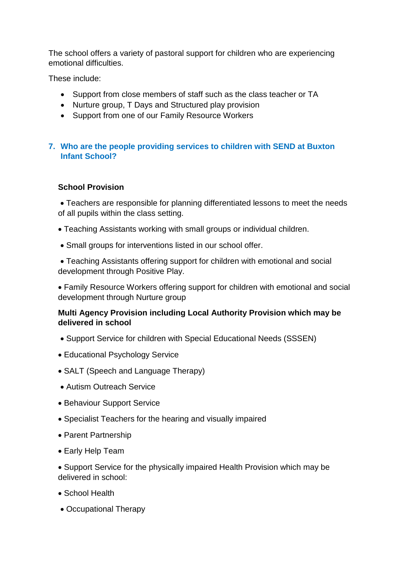The school offers a variety of pastoral support for children who are experiencing emotional difficulties.

These include:

- Support from close members of staff such as the class teacher or TA
- Nurture group, T Days and Structured play provision
- Support from one of our Family Resource Workers

# **7. Who are the people providing services to children with SEND at Buxton Infant School?**

## **School Provision**

 Teachers are responsible for planning differentiated lessons to meet the needs of all pupils within the class setting.

- Teaching Assistants working with small groups or individual children.
- Small groups for interventions listed in our school offer.

 Teaching Assistants offering support for children with emotional and social development through Positive Play.

 Family Resource Workers offering support for children with emotional and social development through Nurture group

## **Multi Agency Provision including Local Authority Provision which may be delivered in school**

- Support Service for children with Special Educational Needs (SSSEN)
- Educational Psychology Service
- SALT (Speech and Language Therapy)
- Autism Outreach Service
- Behaviour Support Service
- Specialist Teachers for the hearing and visually impaired
- Parent Partnership
- Early Help Team

• Support Service for the physically impaired Health Provision which may be delivered in school:

- School Health
- Occupational Therapy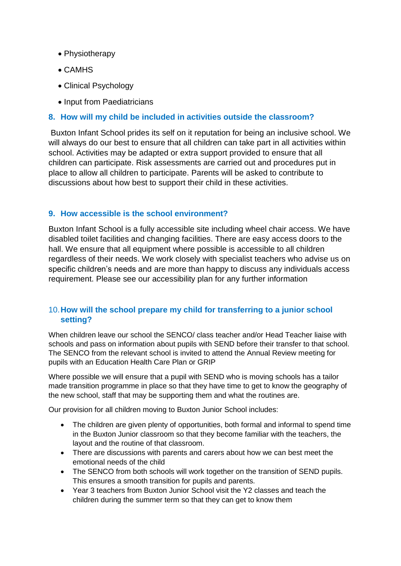- Physiotherapy
- CAMHS
- Clinical Psychology
- Input from Paediatricians

### **8. How will my child be included in activities outside the classroom?**

Buxton Infant School prides its self on it reputation for being an inclusive school. We will always do our best to ensure that all children can take part in all activities within school. Activities may be adapted or extra support provided to ensure that all children can participate. Risk assessments are carried out and procedures put in place to allow all children to participate. Parents will be asked to contribute to discussions about how best to support their child in these activities.

### **9. How accessible is the school environment?**

Buxton Infant School is a fully accessible site including wheel chair access. We have disabled toilet facilities and changing facilities. There are easy access doors to the hall. We ensure that all equipment where possible is accessible to all children regardless of their needs. We work closely with specialist teachers who advise us on specific children's needs and are more than happy to discuss any individuals access requirement. Please see our accessibility plan for any further information

## 10.**How will the school prepare my child for transferring to a junior school setting?**

When children leave our school the SENCO/ class teacher and/or Head Teacher liaise with schools and pass on information about pupils with SEND before their transfer to that school. The SENCO from the relevant school is invited to attend the Annual Review meeting for pupils with an Education Health Care Plan or GRIP

Where possible we will ensure that a pupil with SEND who is moving schools has a tailor made transition programme in place so that they have time to get to know the geography of the new school, staff that may be supporting them and what the routines are.

Our provision for all children moving to Buxton Junior School includes:

- The children are given plenty of opportunities, both formal and informal to spend time in the Buxton Junior classroom so that they become familiar with the teachers, the layout and the routine of that classroom.
- There are discussions with parents and carers about how we can best meet the emotional needs of the child
- The SENCO from both schools will work together on the transition of SEND pupils. This ensures a smooth transition for pupils and parents.
- Year 3 teachers from Buxton Junior School visit the Y2 classes and teach the children during the summer term so that they can get to know them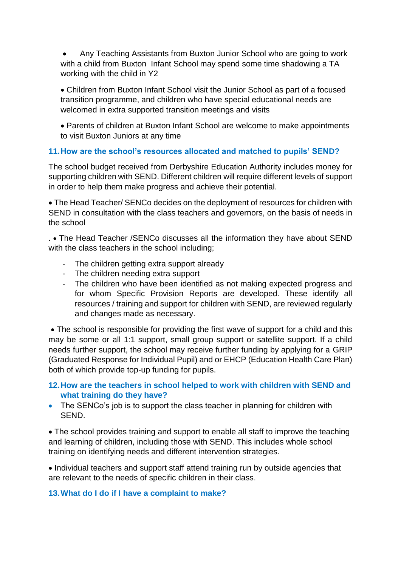Any Teaching Assistants from Buxton Junior School who are going to work with a child from Buxton Infant School may spend some time shadowing a TA working with the child in Y2

 Children from Buxton Infant School visit the Junior School as part of a focused transition programme, and children who have special educational needs are welcomed in extra supported transition meetings and visits

 Parents of children at Buxton Infant School are welcome to make appointments to visit Buxton Juniors at any time

## **11.How are the school's resources allocated and matched to pupils' SEND?**

The school budget received from Derbyshire Education Authority includes money for supporting children with SEND. Different children will require different levels of support in order to help them make progress and achieve their potential.

 The Head Teacher/ SENCo decides on the deployment of resources for children with SEND in consultation with the class teachers and governors, on the basis of needs in the school

. The Head Teacher /SENCo discusses all the information they have about SEND with the class teachers in the school including;

- The children getting extra support already
- The children needing extra support
- The children who have been identified as not making expected progress and for whom Specific Provision Reports are developed. These identify all resources / training and support for children with SEND, are reviewed regularly and changes made as necessary.

 The school is responsible for providing the first wave of support for a child and this may be some or all 1:1 support, small group support or satellite support. If a child needs further support, the school may receive further funding by applying for a GRIP (Graduated Response for Individual Pupil) and or EHCP (Education Health Care Plan) both of which provide top-up funding for pupils.

# **12.How are the teachers in school helped to work with children with SEND and what training do they have?**

• The SENCo's job is to support the class teacher in planning for children with SEND.

• The school provides training and support to enable all staff to improve the teaching and learning of children, including those with SEND. This includes whole school training on identifying needs and different intervention strategies.

• Individual teachers and support staff attend training run by outside agencies that are relevant to the needs of specific children in their class.

## **13.What do I do if I have a complaint to make?**